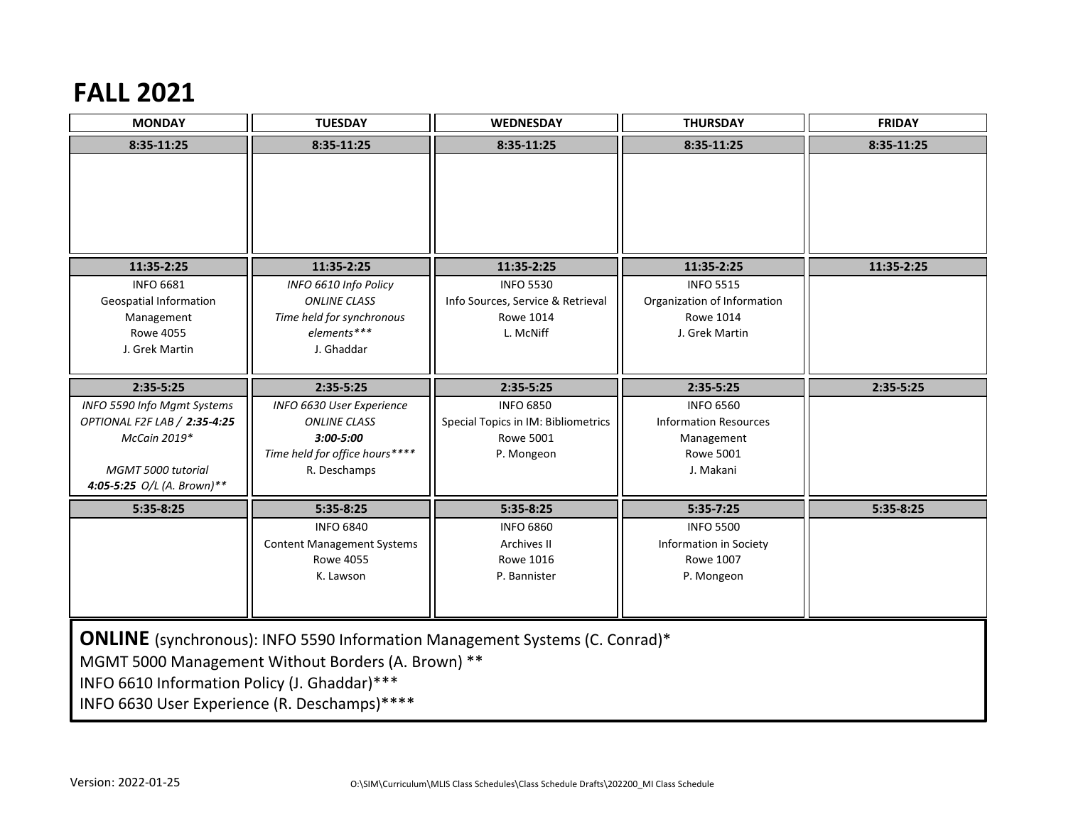## **FALL 2021**

| <b>MONDAY</b>                                                                                                                                                                                                                            | <b>TUESDAY</b>                                 | <b>WEDNESDAY</b>                    | <b>THURSDAY</b>                | <b>FRIDAY</b> |  |
|------------------------------------------------------------------------------------------------------------------------------------------------------------------------------------------------------------------------------------------|------------------------------------------------|-------------------------------------|--------------------------------|---------------|--|
| 8:35-11:25                                                                                                                                                                                                                               | 8:35-11:25                                     | 8:35-11:25                          | 8:35-11:25                     | 8:35-11:25    |  |
|                                                                                                                                                                                                                                          |                                                |                                     |                                |               |  |
|                                                                                                                                                                                                                                          |                                                |                                     |                                |               |  |
| 11:35-2:25<br><b>INFO 6681</b>                                                                                                                                                                                                           | 11:35-2:25                                     | 11:35-2:25<br><b>INFO 5530</b>      | 11:35-2:25<br><b>INFO 5515</b> | 11:35-2:25    |  |
| <b>Geospatial Information</b>                                                                                                                                                                                                            | INFO 6610 Info Policy<br><b>ONLINE CLASS</b>   | Info Sources, Service & Retrieval   | Organization of Information    |               |  |
| Management                                                                                                                                                                                                                               | Time held for synchronous                      | <b>Rowe 1014</b>                    | <b>Rowe 1014</b>               |               |  |
| <b>Rowe 4055</b>                                                                                                                                                                                                                         | elements***                                    | L. McNiff                           | J. Grek Martin                 |               |  |
| J. Grek Martin                                                                                                                                                                                                                           | J. Ghaddar                                     |                                     |                                |               |  |
|                                                                                                                                                                                                                                          |                                                |                                     |                                |               |  |
| $2:35-5:25$                                                                                                                                                                                                                              | $2:35-5:25$                                    | 2:35-5:25                           | 2:35-5:25                      | 2:35-5:25     |  |
| INFO 5590 Info Mgmt Systems                                                                                                                                                                                                              | INFO 6630 User Experience                      | <b>INFO 6850</b>                    | <b>INFO 6560</b>               |               |  |
| OPTIONAL F2F LAB / 2:35-4:25                                                                                                                                                                                                             | <b>ONLINE CLASS</b>                            | Special Topics in IM: Bibliometrics | <b>Information Resources</b>   |               |  |
| McCain 2019*                                                                                                                                                                                                                             | $3:00 - 5:00$                                  | <b>Rowe 5001</b>                    | Management<br>Rowe 5001        |               |  |
| <b>MGMT 5000 tutorial</b>                                                                                                                                                                                                                | Time held for office hours****<br>R. Deschamps | P. Mongeon                          | J. Makani                      |               |  |
| 4:05-5:25 O/L (A. Brown)**                                                                                                                                                                                                               |                                                |                                     |                                |               |  |
| $5:35-8:25$                                                                                                                                                                                                                              | 5:35-8:25                                      | $5:35-8:25$                         | 5:35-7:25                      | 5:35-8:25     |  |
|                                                                                                                                                                                                                                          | <b>INFO 6840</b>                               | <b>INFO 6860</b>                    | <b>INFO 5500</b>               |               |  |
|                                                                                                                                                                                                                                          | <b>Content Management Systems</b>              | Archives II                         | <b>Information in Society</b>  |               |  |
|                                                                                                                                                                                                                                          | <b>Rowe 4055</b>                               | Rowe 1016                           | Rowe 1007                      |               |  |
|                                                                                                                                                                                                                                          | K. Lawson                                      | P. Bannister                        | P. Mongeon                     |               |  |
|                                                                                                                                                                                                                                          |                                                |                                     |                                |               |  |
| <b>ONLINE</b> (synchronous): INFO 5590 Information Management Systems (C. Conrad)*<br>MGMT 5000 Management Without Borders (A. Brown) **<br>INFO 6610 Information Policy (J. Ghaddar)***<br>INFO 6630 User Experience (R. Deschamps)**** |                                                |                                     |                                |               |  |